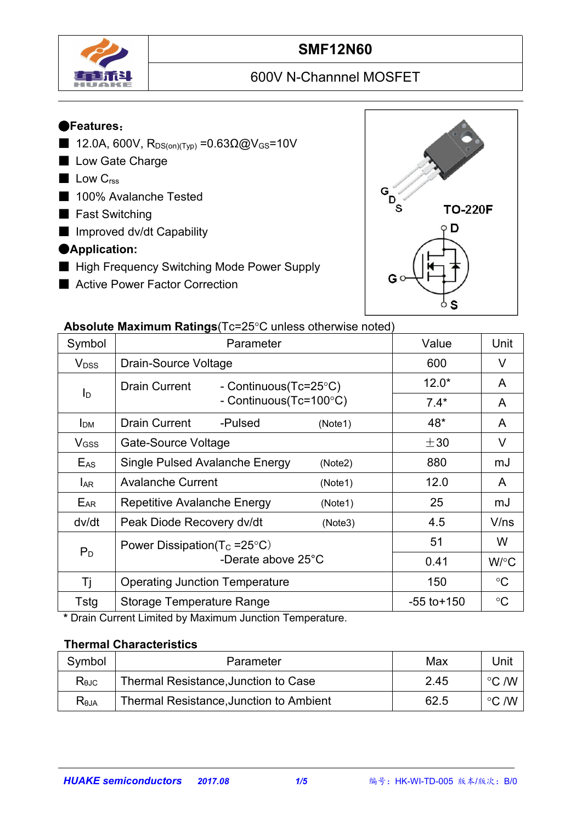

# **SMF12N60**

# 600V N-Channnel MOSFET

#### ●**Features**:

- 12.0A, 600V,  $R_{DS(on)(Typ)} = 0.63Ω@V_{GS} = 10V$
- Low Gate Charge
- Low C<sub>rss</sub>
- 100% Avalanche Tested
- Fast Switching
- Improved dv/dt Capability

#### ●**Application:**

- High Frequency Switching Mode Power Supply
- Active Power Factor Correction



#### **Absolute Maximum Ratings** (Tc=25°C unless otherwise noted)

|                         | $\sim$ . The measurement is a consequence of the control increase of the control increase of the control increase of the control increase of the control increase of the control increase of the control increase of the contro |                 |                 |
|-------------------------|---------------------------------------------------------------------------------------------------------------------------------------------------------------------------------------------------------------------------------|-----------------|-----------------|
| Symbol                  | Parameter                                                                                                                                                                                                                       | Value           | Unit            |
| <b>V</b> <sub>DSS</sub> | Drain-Source Voltage                                                                                                                                                                                                            | 600             | $\vee$          |
|                         | Drain Current<br>- Continuous(Tc=25°C)                                                                                                                                                                                          | $12.0*$         | A               |
| $I_D$                   | - Continuous(Tc=100°C)                                                                                                                                                                                                          | $7.4*$          | A               |
| I <sub>DM</sub>         | <b>Drain Current</b><br>-Pulsed<br>(Note1)                                                                                                                                                                                      | $48*$           | A               |
| V <sub>GSS</sub>        | Gate-Source Voltage                                                                                                                                                                                                             | $\pm 30$        | V               |
| $E_{AS}$                | Single Pulsed Avalanche Energy<br>(Note2)                                                                                                                                                                                       | 880             | mJ              |
| <b>LAR</b>              | <b>Avalanche Current</b><br>(Note1)                                                                                                                                                                                             | 12.0            | $\mathsf{A}$    |
| EAR                     | Repetitive Avalanche Energy<br>(Note1)                                                                                                                                                                                          | 25              | mJ              |
| dv/dt                   | Peak Diode Recovery dv/dt<br>(Note3)                                                                                                                                                                                            | 4.5             | V/ns            |
|                         | Power Dissipation( $T_c = 25^{\circ}C$ )                                                                                                                                                                                        | 51              | W               |
| $P_D$                   | -Derate above 25°C                                                                                                                                                                                                              | 0.41            | W/°C            |
| Τj                      | <b>Operating Junction Temperature</b>                                                                                                                                                                                           | 150             | $\rm ^{\circ}C$ |
| Tstg                    | <b>Storage Temperature Range</b>                                                                                                                                                                                                | $-55$ to $+150$ | $\rm ^{\circ}C$ |

**\*** Drain Current Limited by Maximum Junction Temperature.

#### **Thermal Characteristics**

| Symbol         | Parameter                               | Max  | Unit            |  |
|----------------|-----------------------------------------|------|-----------------|--|
| $R_{\theta$ JC | Thermal Resistance, Junction to Case    | 2.45 | こ /W<br>$\circ$ |  |
| $R_{\theta$ JA | Thermal Resistance, Junction to Ambient | 62.5 | こ /W<br>$\circ$ |  |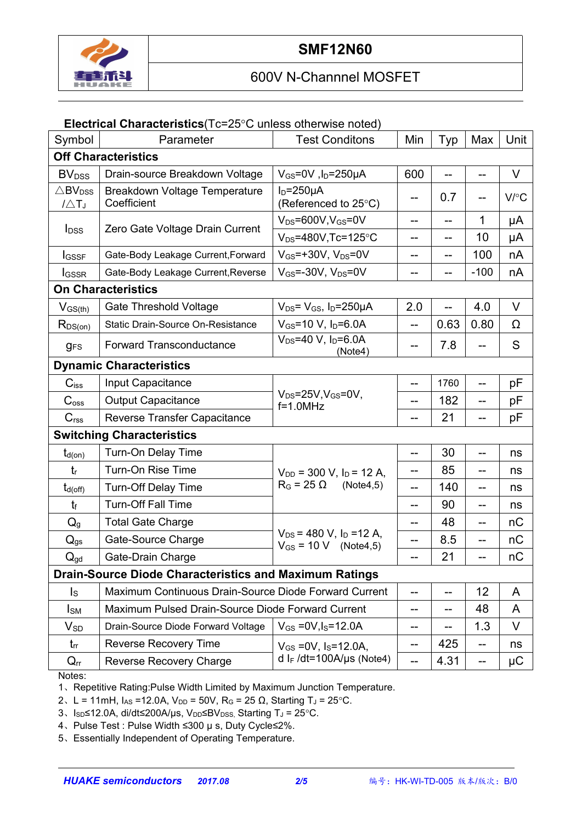

# 600V N-Channnel MOSFET

#### **Electrical Characteristics**(Tc=25°C unless otherwise noted)

| Symbol                                             | Parameter                                                     | <b>Test Conditons</b>                                                 | Min | Typ  | Max    | Unit    |  |
|----------------------------------------------------|---------------------------------------------------------------|-----------------------------------------------------------------------|-----|------|--------|---------|--|
|                                                    | <b>Off Characteristics</b>                                    |                                                                       |     |      |        |         |  |
| <b>BV</b> <sub>DSS</sub>                           | Drain-source Breakdown Voltage                                | $V_{GS}$ =0V, l <sub>D</sub> =250µA                                   | 600 |      |        | $\vee$  |  |
| $\triangle$ BV <sub>DSS</sub><br>$1/\triangle T_J$ | <b>Breakdown Voltage Temperature</b><br>Coefficient           | $I_D = 250 \mu A$<br>(Referenced to 25°C)                             | --  | 0.7  |        | V/C     |  |
| <b>I</b> <sub>DSS</sub>                            | Zero Gate Voltage Drain Current                               | $V_{DS} = 600V$ , $V_{GS} = 0V$                                       | --  | --   | 1      | μA      |  |
|                                                    |                                                               | $V_{DS} = 480V$ , Tc=125°C                                            | --  | --   | 10     | μA      |  |
| <b>I</b> GSSF                                      | Gate-Body Leakage Current, Forward                            | $V_{GS}$ =+30V, $V_{DS}$ =0V                                          | --  | --   | 100    | nA      |  |
| <b>I</b> GSSR                                      | Gate-Body Leakage Current, Reverse                            | $V_{GS}$ =-30V, $V_{DS}$ =0V                                          | --  | --   | $-100$ | nA      |  |
| <b>On Characteristics</b>                          |                                                               |                                                                       |     |      |        |         |  |
| $V_{GS(th)}$                                       | <b>Gate Threshold Voltage</b>                                 | $V_{DS} = V_{GS}$ , $I_D = 250 \mu A$                                 | 2.0 |      | 4.0    | $\vee$  |  |
| $R_{DS(on)}$                                       | Static Drain-Source On-Resistance                             | $V_{GS}$ =10 V, $I_D$ =6.0A                                           | $-$ | 0.63 | 0.80   | Ω       |  |
| <b>gFS</b>                                         | <b>Forward Transconductance</b>                               | $V_{DS} = 40 V$ , $I_D = 6.0 A$<br>(Note4)                            | --  | 7.8  |        | S       |  |
|                                                    | <b>Dynamic Characteristics</b>                                |                                                                       |     |      |        |         |  |
| $C$ <sub>iss</sub>                                 | Input Capacitance                                             |                                                                       | --  | 1760 |        | pF      |  |
| C <sub>oss</sub>                                   | <b>Output Capacitance</b>                                     | $V_{DS} = 25V$ , $V_{GS} = 0V$ ,<br>$f=1.0$ MHz                       | --  | 182  | --     | рF      |  |
| C <sub>rss</sub>                                   | Reverse Transfer Capacitance                                  |                                                                       | --  | 21   |        | pF      |  |
| <b>Switching Characteristics</b>                   |                                                               |                                                                       |     |      |        |         |  |
| $t_{d(on)}$                                        | Turn-On Delay Time                                            |                                                                       | --  | 30   | --     | ns      |  |
| $t_{r}$                                            | Turn-On Rise Time                                             | $V_{DD}$ = 300 V, $I_D$ = 12 A,                                       | --  | 85   | --     | ns      |  |
| $t_{d(off)}$                                       | <b>Turn-Off Delay Time</b>                                    | $R_G = 25 \Omega$<br>(Note4,5)                                        | --  | 140  | --     | ns      |  |
| $t_{\rm f}$                                        | Turn-Off Fall Time                                            |                                                                       | -−  | 90   | --     | ns      |  |
| $Q_q$                                              | <b>Total Gate Charge</b>                                      |                                                                       | --  | 48   | --     | nC      |  |
| $Q_{gs}$                                           | Gate-Source Charge                                            | $V_{DS}$ = 480 V, I <sub>D</sub> = 12 A,<br>$V_{GS} = 10 V$ (Note4,5) | --  | 8.5  |        | nC      |  |
| $Q_{gd}$                                           | Gate-Drain Charge                                             |                                                                       |     | 21   |        | nC      |  |
|                                                    | <b>Drain-Source Diode Characteristics and Maximum Ratings</b> |                                                                       |     |      |        |         |  |
| $\mathsf{I}_\mathsf{S}$                            | Maximum Continuous Drain-Source Diode Forward Current         |                                                                       |     | 12   | A      |         |  |
| $I_{\text{SM}}$                                    | Maximum Pulsed Drain-Source Diode Forward Current             | --                                                                    | --  | 48   | A      |         |  |
| $V_{SD}$                                           | Drain-Source Diode Forward Voltage                            | $V_{GS} = 0V, I_S = 12.0A$                                            | --  |      | 1.3    | V       |  |
| $t_{rr}$                                           | <b>Reverse Recovery Time</b>                                  | $V_{GS}$ = 0V, $I_S$ = 12.0A,                                         | --  | 425  | --     | ns      |  |
| $Q_{rr}$                                           | Reverse Recovery Charge                                       | d I <sub>F</sub> /dt=100A/µs (Note4)                                  | --  | 4.31 | --     | $\mu$ C |  |

Notes:

1、Repetitive Rating:Pulse Width Limited by Maximum Junction Temperature.

2、L = 11mH,  $I_{AS}$  =12.0A,  $V_{DD}$  = 50V, R<sub>G</sub> = 25 Ω, Starting T<sub>J</sub> = 25°C.

3、Isp≤12.0A, di/dt≤200A/µs, V<sub>DD</sub>≤BV<sub>DSS,</sub> Starting T<sub>J</sub> = 25°C.

4、Pulse Test : Pulse Width ≤300 µ s, Duty Cycle≤2%.

5、Essentially Independent of Operating Temperature.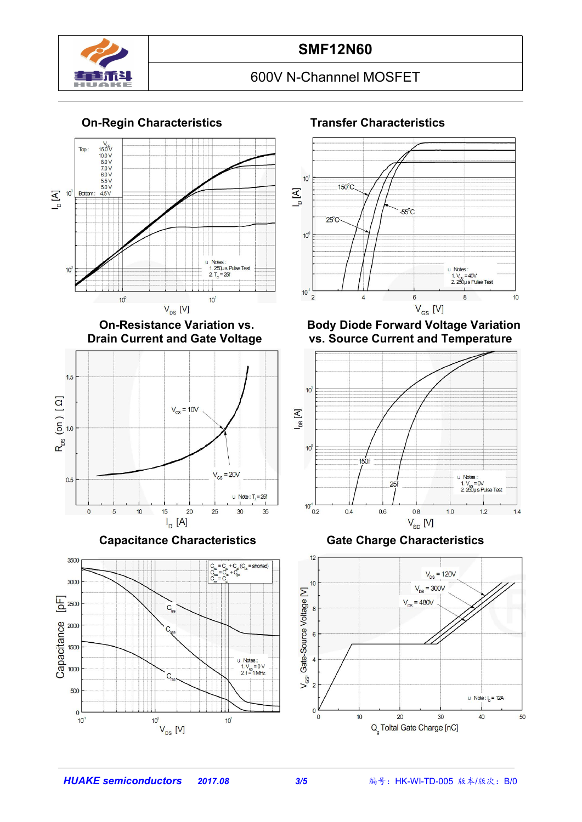

### **SMF12N60**

# 600V N-Channnel MOSFET

#### **On-Regin Characteristics Transfer Characteristics**





**Capacitance Characteristics Gate Charge Characteristics**





**On-Resistance Variation vs. Body Diode Forward Voltage Variation vs.** Source Current and Temperature





*HUAKE semiconductors 2017.08 3/5* 编号:HK-WI-TD-005 版本/版次:B/0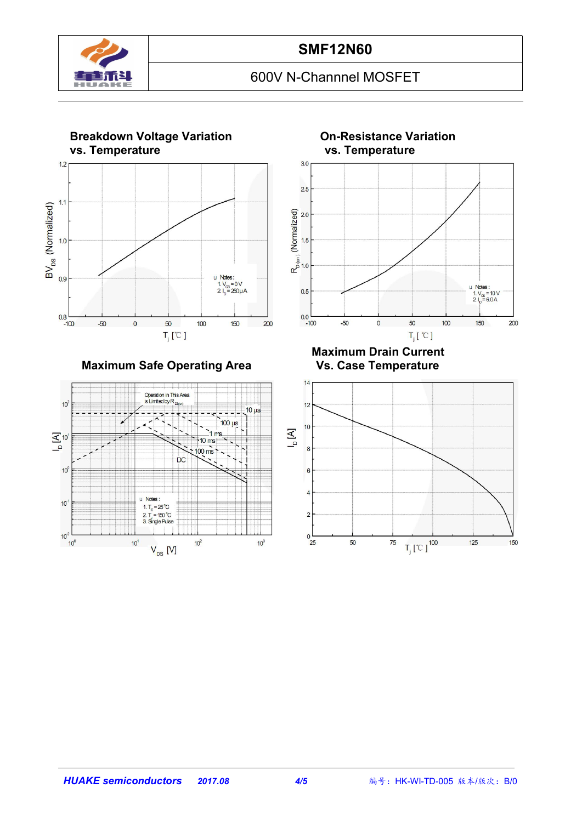

# 600V N-Channnel MOSFET



**Maximum Safe Operating Area** 





**Maximum Drain Current**